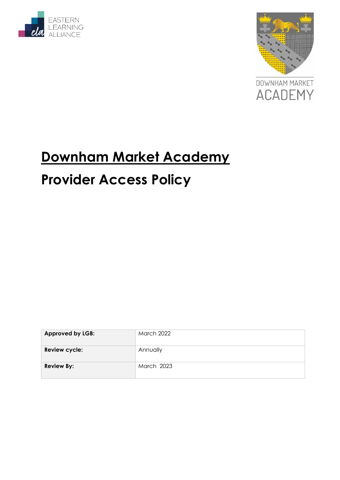





# **Downham Market Academy Provider Access Policy**

| <b>Approved by LGB:</b> | <b>March 2022</b> |
|-------------------------|-------------------|
| Review cycle:           | Annually          |
| <b>Review By:</b>       | March 2023        |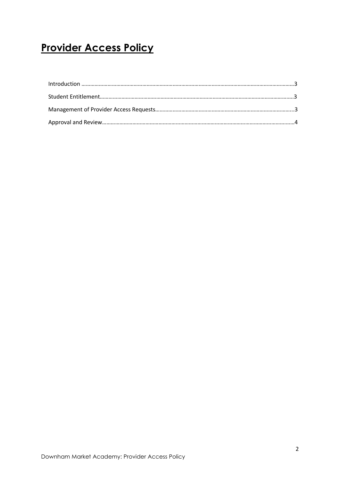## **Provider Access Policy**